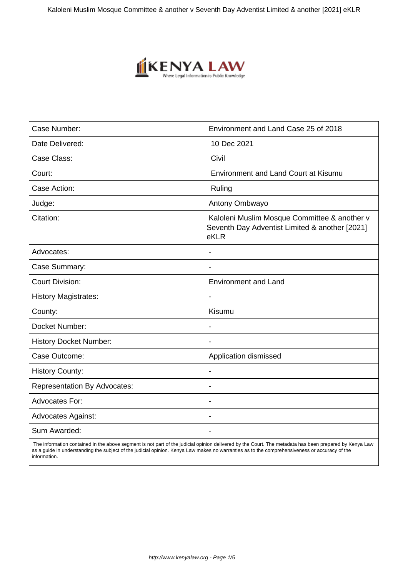

| Case Number:                        | Environment and Land Case 25 of 2018                                                                   |
|-------------------------------------|--------------------------------------------------------------------------------------------------------|
| Date Delivered:                     | 10 Dec 2021                                                                                            |
| Case Class:                         | Civil                                                                                                  |
| Court:                              | <b>Environment and Land Court at Kisumu</b>                                                            |
| Case Action:                        | Ruling                                                                                                 |
| Judge:                              | Antony Ombwayo                                                                                         |
| Citation:                           | Kaloleni Muslim Mosque Committee & another v<br>Seventh Day Adventist Limited & another [2021]<br>eKLR |
| Advocates:                          |                                                                                                        |
| Case Summary:                       | $\blacksquare$                                                                                         |
| <b>Court Division:</b>              | <b>Environment and Land</b>                                                                            |
| <b>History Magistrates:</b>         |                                                                                                        |
| County:                             | Kisumu                                                                                                 |
| Docket Number:                      | $\blacksquare$                                                                                         |
| <b>History Docket Number:</b>       |                                                                                                        |
| Case Outcome:                       | Application dismissed                                                                                  |
| <b>History County:</b>              |                                                                                                        |
| <b>Representation By Advocates:</b> | $\blacksquare$                                                                                         |
| <b>Advocates For:</b>               |                                                                                                        |
| <b>Advocates Against:</b>           |                                                                                                        |
| Sum Awarded:                        |                                                                                                        |

 The information contained in the above segment is not part of the judicial opinion delivered by the Court. The metadata has been prepared by Kenya Law as a guide in understanding the subject of the judicial opinion. Kenya Law makes no warranties as to the comprehensiveness or accuracy of the information.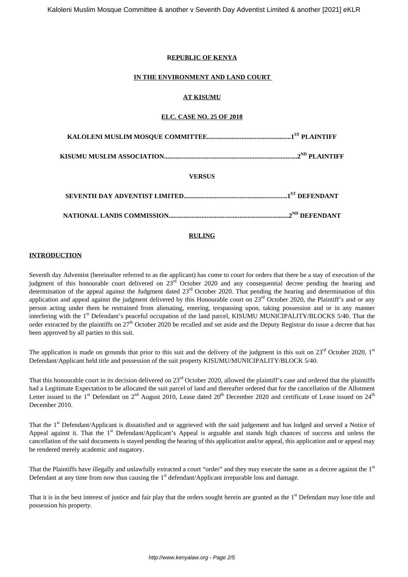### **REPUBLIC OF KENYA**

#### **IN THE ENVIRONMENT AND LAND COURT**

## **AT KISUMU**

## **ELC. CASE NO. 25 OF 2018**

| <b>VERSUS</b> |  |
|---------------|--|
|               |  |
|               |  |

## **RULING**

#### **INTRODUCTION**

Seventh day Adventist (hereinafter referred to as the applicant) has come to court for orders that there be a stay of execution of the judgment of this honourable court delivered on  $23^{\text{rd}}$  October 2020 and any consequential decree pending the hearing and determination of the appeal against the Judgment dated  $23<sup>rd</sup>$  October 2020. That pending the hearing and determination of this application and appeal against the judgment delivered by this Honourable court on  $23<sup>rd</sup>$  October 2020, the Plaintiff's and or any person acting under them be restrained from alienating, entering, trespassing upon, taking possession and or in any manner interfering with the 1<sup>st</sup> Defendant's peaceful occupation of the land parcel, KISUMU MUNICIPALITY/BLOCKS 5/40. That the order extracted by the plaintiffs on  $27<sup>th</sup>$  October 2020 be recalled and set aside and the Deputy Registrar do issue a decree that has been approved by all parties to this suit.

The application is made on grounds that prior to this suit and the delivery of the judgment in this suit on  $23<sup>rd</sup>$  October 2020,  $1<sup>st</sup>$ Defendant/Applicant held title and possession of the suit property KISUMU/MUNICIPALITY/BLOCK 5/40.

That this honourable court in its decision delivered on 23<sup>rd</sup> October 2020, allowed the plaintiff's case and ordered that the plaintiffs had a Legitimate Expectation to be allocated the suit parcel of land and thereafter ordered that for the cancellation of the Allotment Letter issued to the  $1<sup>st</sup>$  Defendant on  $2<sup>nd</sup>$  August 2010, Lease dated  $20<sup>th</sup>$  December 2020 and certificate of Lease issued on  $24<sup>th</sup>$ December 2010.

That the 1<sup>st</sup> Defendant/Applicant is dissatisfied and or aggrieved with the said judgement and has lodged and served a Notice of Appeal against it. That the  $1<sup>st</sup>$  Defendant/Applicant's Appeal is arguable and stands high chances of success and unless the cancellation of the said documents is stayed pending the hearing of this application and/or appeal, this application and or appeal may be rendered merely academic and nugatory.

That the Plaintiffs have illegally and unlawfully extracted a court "order" and they may execute the same as a decree against the 1st Defendant at any time from now thus causing the  $1<sup>st</sup>$  defendant/Applicant irreparable loss and damage.

That it is in the best interest of justice and fair play that the orders sought herein are granted as the  $1<sup>st</sup>$  Defendant may lose title and possession his property.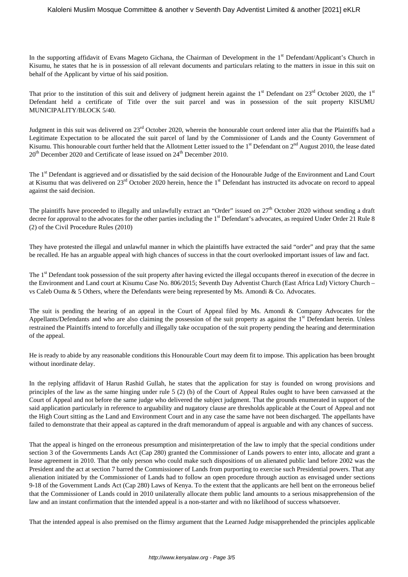In the supporting affidavit of Evans Mageto Gichana, the Chairman of Development in the 1<sup>st</sup> Defendant/Applicant's Church in Kisumu, he states that he is in possession of all relevant documents and particulars relating to the matters in issue in this suit on behalf of the Applicant by virtue of his said position.

That prior to the institution of this suit and delivery of judgment herein against the  $1<sup>st</sup>$  Defendant on  $23<sup>rd</sup>$  October 2020, the  $1<sup>st</sup>$ Defendant held a certificate of Title over the suit parcel and was in possession of the suit property KISUMU MUNICIPALITY/BLOCK 5/40.

Judgment in this suit was delivered on 23<sup>rd</sup> October 2020, wherein the honourable court ordered inter alia that the Plaintiffs had a Legitimate Expectation to be allocated the suit parcel of land by the Commissioner of Lands and the County Government of Kisumu. This honourable court further held that the Allotment Letter issued to the  $1<sup>st</sup>$  Defendant on  $2<sup>nd</sup>$  August 2010, the lease dated  $20<sup>th</sup>$  December 2020 and Certificate of lease issued on  $24<sup>th</sup>$  December 2010.

The 1<sup>st</sup> Defendant is aggrieved and or dissatisfied by the said decision of the Honourable Judge of the Environment and Land Court at Kisumu that was delivered on 23<sup>rd</sup> October 2020 herein, hence the 1<sup>st</sup> Defendant has instructed its advocate on record to appeal against the said decision.

The plaintiffs have proceeded to illegally and unlawfully extract an "Order" issued on 27<sup>th</sup> October 2020 without sending a draft decree for approval to the advocates for the other parties including the 1<sup>st</sup> Defendant's advocates, as required Under Order 21 Rule 8 (2) of the Civil Procedure Rules (2010)

They have protested the illegal and unlawful manner in which the plaintiffs have extracted the said "order" and pray that the same be recalled. He has an arguable appeal with high chances of success in that the court overlooked important issues of law and fact.

The 1<sup>st</sup> Defendant took possession of the suit property after having evicted the illegal occupants thereof in execution of the decree in the Environment and Land court at Kisumu Case No. 806/2015; Seventh Day Adventist Church (East Africa Ltd) Victory Church – vs Caleb Ouma & 5 Others, where the Defendants were being represented by Ms. Amondi & Co. Advocates.

The suit is pending the hearing of an appeal in the Court of Appeal filed by Ms. Amondi & Company Advocates for the Appellants/Defendants and who are also claiming the possession of the suit property as against the  $1<sup>st</sup>$  Defendant herein. Unless restrained the Plaintiffs intend to forcefully and illegally take occupation of the suit property pending the hearing and determination of the appeal.

He is ready to abide by any reasonable conditions this Honourable Court may deem fit to impose. This application has been brought without inordinate delay.

In the replying affidavit of Harun Rashid Gullah, he states that the application for stay is founded on wrong provisions and principles of the law as the same hinging under rule 5 (2) (b) of the Court of Appeal Rules ought to have been canvassed at the Court of Appeal and not before the same judge who delivered the subject judgment. That the grounds enumerated in support of the said application particularly in reference to arguability and nugatory clause are thresholds applicable at the Court of Appeal and not the High Court sitting as the Land and Environment Court and in any case the same have not been discharged. The appellants have failed to demonstrate that their appeal as captured in the draft memorandum of appeal is arguable and with any chances of success.

That the appeal is hinged on the erroneous presumption and misinterpretation of the law to imply that the special conditions under section 3 of the Governments Lands Act (Cap 280) granted the Commissioner of Lands powers to enter into, allocate and grant a lease agreement in 2010. That the only person who could make such dispositions of un alienated public land before 2002 was the President and the act at section 7 barred the Commissioner of Lands from purporting to exercise such Presidential powers. That any alienation initiated by the Commissioner of Lands had to follow an open procedure through auction as envisaged under sections 9-18 of the Government Lands Act (Cap 280) Laws of Kenya. To the extent that the applicants are hell bent on the erroneous belief that the Commissioner of Lands could in 2010 unilaterally allocate them public land amounts to a serious misapprehension of the law and an instant confirmation that the intended appeal is a non-starter and with no likelihood of success whatsoever.

That the intended appeal is also premised on the flimsy argument that the Learned Judge misapprehended the principles applicable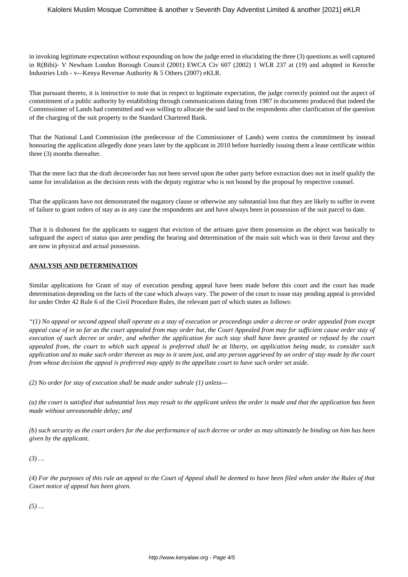in invoking legitimate expectation without expounding on how the judge erred in elucidating the three (3) questions as well captured in R(Bibi)- V Newham London Borough Council (2001) EWCA Civ 607 (2002) 1 WLR 237 at (19) and adopted in Keroche Industries Ltds - v-–Kenya Revenue Authority & 5 Others (2007) eKLR.

That pursuant thereto, it is instructive to note that in respect to legitimate expectation, the judge correctly pointed out the aspect of commitment of a public authority by establishing through communications dating from 1987 in documents produced that indeed the Commissioner of Lands had committed and was willing to allocate the said land to the respondents after clarification of the question of the charging of the suit property to the Standard Chartered Bank.

That the National Land Commission (the predecessor of the Commissioner of Lands) went contra the commitment by instead honouring the application allegedly done years later by the applicant in 2010 before hurriedly issuing them a lease certificate within three (3) months thereafter.

That the mere fact that the draft decree/order has not been served upon the other party before extraction does not in itself qualify the same for invalidation as the decision rests with the deputy registrar who is not bound by the proposal by respective counsel.

That the applicants have not demonstrated the nugatory clause or otherwise any substantial loss that they are likely to suffer in event of failure to grant orders of stay as in any case the respondents are and have always been in possession of the suit parcel to date.

That it is dishonest for the applicants to suggest that eviction of the artisans gave them possession as the object was basically to safeguard the aspect of status quo ante pending the hearing and determination of the main suit which was in their favour and they are now in physical and actual possession.

### **ANALYSIS AND DETERMINATION**

Similar applications for Grant of stay of execution pending appeal have been made before this court and the court has made determination depending on the facts of the case which always vary. The power of the court to issue stay pending appeal is provided for under Order 42 Rule 6 of the Civil Procedure Rules, the relevant part of which states as follows:

*"(1) No appeal or second appeal shall operate as a stay of execution or proceedings under a decree or order appealed from except appeal case of in so far as the court appealed from may order but, the Court Appealed from may for sufficient cause order stay of execution of such decree or order, and whether the application for such stay shall have been granted or refused by the court appealed from, the court to which such appeal is preferred shall be at liberty, on application being made, to consider such application and to make such order thereon as may to it seem just, and any person aggrieved by an order of stay made by the court from whose decision the appeal is preferred may apply to the appellate court to have such order set aside.*

*(2) No order for stay of execution shall be made under subrule (1) unless—*

*(a) the court is satisfied that substantial loss may result to the applicant unless the order is made and that the application has been made without unreasonable delay; and*

*(b) such security as the court orders for the due performance of such decree or order as may ultimately be binding on him has been given by the applicant.*

*(3) …*

*(4) For the purposes of this rule an appeal to the Court of Appeal shall be deemed to have been filed when under the Rules of that Court notice of appeal has been given.*

*(5) …*